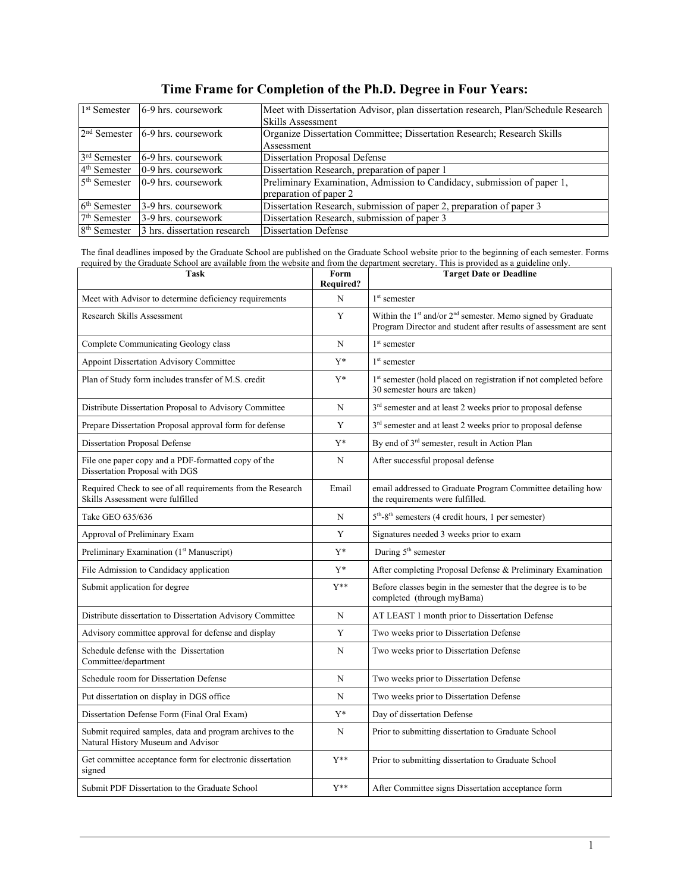| 1 <sup>st</sup> Semester | 6-9 hrs. coursework                | Meet with Dissertation Advisor, plan dissertation research, Plan/Schedule Research |  |  |
|--------------------------|------------------------------------|------------------------------------------------------------------------------------|--|--|
|                          |                                    | Skills Assessment                                                                  |  |  |
|                          | $2nd$ Semester 6-9 hrs. coursework | Organize Dissertation Committee; Dissertation Research; Research Skills            |  |  |
|                          |                                    | Assessment                                                                         |  |  |
| 3 <sup>rd</sup> Semester | 6-9 hrs. coursework                | <b>Dissertation Proposal Defense</b>                                               |  |  |
| $4th$ Semester           | 0-9 hrs. coursework                | Dissertation Research, preparation of paper 1                                      |  |  |
| $5th$ Semester           | $0-9$ hrs. coursework              | Preliminary Examination, Admission to Candidacy, submission of paper 1,            |  |  |
|                          |                                    | preparation of paper 2                                                             |  |  |
| $6th$ Semester           | 3-9 hrs. coursework                | Dissertation Research, submission of paper 2, preparation of paper 3               |  |  |
| $7th$ Semester           | 3-9 hrs. coursework                | Dissertation Research, submission of paper 3                                       |  |  |
| 8 <sup>th</sup> Semester | 3 hrs. dissertation research       | <b>Dissertation Defense</b>                                                        |  |  |

## **Time Frame for Completion of the Ph.D. Degree in Four Years:**

The final deadlines imposed by the Graduate School are published on the Graduate School website prior to the beginning of each semester. Forms required by the Graduate School are available from the website and from the department secretary. This is provided as a guideline only.

| <b>Task</b>                                                                                     | Form<br><b>Required?</b> | <b>Target Date or Deadline</b>                                                                                                                           |
|-------------------------------------------------------------------------------------------------|--------------------------|----------------------------------------------------------------------------------------------------------------------------------------------------------|
| Meet with Advisor to determine deficiency requirements                                          | N                        | $1st$ semester                                                                                                                                           |
| <b>Research Skills Assessment</b>                                                               | Y                        | Within the 1 <sup>st</sup> and/or 2 <sup>nd</sup> semester. Memo signed by Graduate<br>Program Director and student after results of assessment are sent |
| Complete Communicating Geology class                                                            | N                        | 1 <sup>st</sup> semester                                                                                                                                 |
| <b>Appoint Dissertation Advisory Committee</b>                                                  | $Y^*$                    | $1st$ semester                                                                                                                                           |
| Plan of Study form includes transfer of M.S. credit                                             | $Y^*$                    | 1st semester (hold placed on registration if not completed before<br>30 semester hours are taken)                                                        |
| Distribute Dissertation Proposal to Advisory Committee                                          | N                        | 3 <sup>rd</sup> semester and at least 2 weeks prior to proposal defense                                                                                  |
| Prepare Dissertation Proposal approval form for defense                                         | Y                        | 3 <sup>rd</sup> semester and at least 2 weeks prior to proposal defense                                                                                  |
| <b>Dissertation Proposal Defense</b>                                                            | $Y^*$                    | By end of 3 <sup>rd</sup> semester, result in Action Plan                                                                                                |
| File one paper copy and a PDF-formatted copy of the<br>Dissertation Proposal with DGS           | N                        | After successful proposal defense                                                                                                                        |
| Required Check to see of all requirements from the Research<br>Skills Assessment were fulfilled | Email                    | email addressed to Graduate Program Committee detailing how<br>the requirements were fulfilled.                                                          |
| Take GEO 635/636                                                                                | N                        | $5th - 8th$ semesters (4 credit hours, 1 per semester)                                                                                                   |
| Approval of Preliminary Exam                                                                    | Y                        | Signatures needed 3 weeks prior to exam                                                                                                                  |
| Preliminary Examination (1 <sup>st</sup> Manuscript)                                            | $Y^*$                    | During 5 <sup>th</sup> semester                                                                                                                          |
| File Admission to Candidacy application                                                         | $Y^*$                    | After completing Proposal Defense & Preliminary Examination                                                                                              |
| Submit application for degree                                                                   | $Y^{**}$                 | Before classes begin in the semester that the degree is to be<br>completed (through myBama)                                                              |
| Distribute dissertation to Dissertation Advisory Committee                                      | N                        | AT LEAST 1 month prior to Dissertation Defense                                                                                                           |
| Advisory committee approval for defense and display                                             | Y                        | Two weeks prior to Dissertation Defense                                                                                                                  |
| Schedule defense with the Dissertation<br>Committee/department                                  | N                        | Two weeks prior to Dissertation Defense                                                                                                                  |
| Schedule room for Dissertation Defense                                                          | N                        | Two weeks prior to Dissertation Defense                                                                                                                  |
| Put dissertation on display in DGS office                                                       | N                        | Two weeks prior to Dissertation Defense                                                                                                                  |
| Dissertation Defense Form (Final Oral Exam)                                                     | $Y^*$                    | Day of dissertation Defense                                                                                                                              |
| Submit required samples, data and program archives to the<br>Natural History Museum and Advisor | N                        | Prior to submitting dissertation to Graduate School                                                                                                      |
| Get committee acceptance form for electronic dissertation<br>signed                             | $Y^**$                   | Prior to submitting dissertation to Graduate School                                                                                                      |
| Submit PDF Dissertation to the Graduate School                                                  | $Y^**$                   | After Committee signs Dissertation acceptance form                                                                                                       |